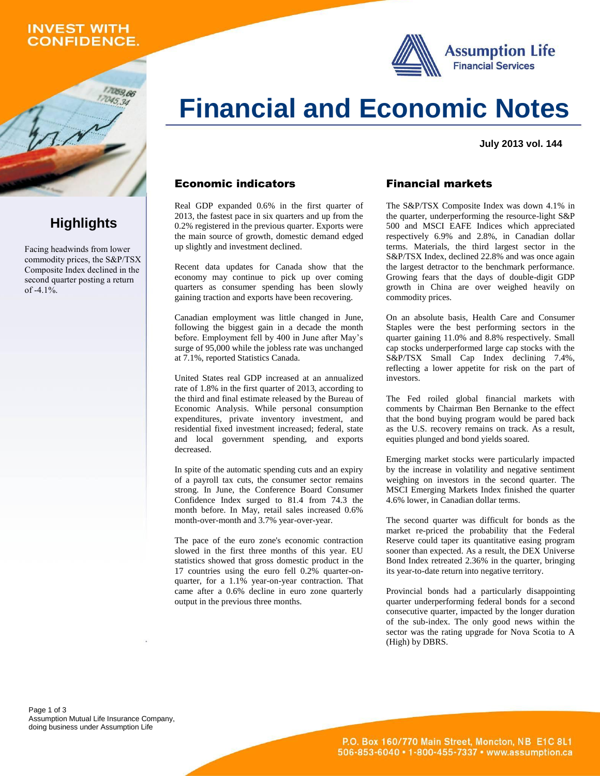# **INVEST WITH CONFIDENCE.**

059.66





**July 2013 vol. 144**

#### Economic indicators

Real GDP expanded 0.6% in the first quarter of 2013, the fastest pace in six quarters and up from the 0.2% registered in the previous quarter. Exports were the main source of growth, domestic demand edged up slightly and investment declined.

Recent data updates for Canada show that the economy may continue to pick up over coming quarters as consumer spending has been slowly gaining traction and exports have been recovering.

Canadian employment was little changed in June, following the biggest gain in a decade the month before. Employment fell by 400 in June after May's surge of 95,000 while the jobless rate was unchanged at 7.1%, reported Statistics Canada.

United States real GDP increased at an annualized rate of 1.8% in the first quarter of 2013, according to the third and final estimate released by the Bureau of Economic Analysis. While personal consumption expenditures, private inventory investment, and residential fixed investment increased; federal, state and local government spending, and exports decreased.

In spite of the automatic spending cuts and an expiry of a payroll tax cuts, the consumer sector remains strong. In June, the Conference Board Consumer Confidence Index surged to 81.4 from 74.3 the month before. In May, retail sales increased 0.6% month-over-month and 3.7% year-over-year.

The pace of the euro zone's economic contraction slowed in the first three months of this year. EU statistics showed that gross domestic product in the 17 countries using the euro fell 0.2% quarter-onquarter, for a 1.1% year-on-year contraction. That came after a 0.6% decline in euro zone quarterly output in the previous three months.

### Financial markets

The S&P/TSX Composite Index was down 4.1% in the quarter, underperforming the resource-light S&P 500 and MSCI EAFE Indices which appreciated respectively 6.9% and 2.8%, in Canadian dollar terms. Materials, the third largest sector in the S&P/TSX Index, declined 22.8% and was once again the largest detractor to the benchmark performance. Growing fears that the days of double-digit GDP growth in China are over weighed heavily on commodity prices.

On an absolute basis, Health Care and Consumer Staples were the best performing sectors in the quarter gaining 11.0% and 8.8% respectively. Small cap stocks underperformed large cap stocks with the S&P/TSX Small Cap Index declining 7.4%, reflecting a lower appetite for risk on the part of investors.

The Fed roiled global financial markets with comments by Chairman Ben Bernanke to the effect that the bond buying program would be pared back as the U.S. recovery remains on track. As a result, equities plunged and bond yields soared.

Emerging market stocks were particularly impacted by the increase in volatility and negative sentiment weighing on investors in the second quarter. The MSCI Emerging Markets Index finished the quarter 4.6% lower, in Canadian dollar terms.

The second quarter was difficult for bonds as the market re-priced the probability that the Federal Reserve could taper its quantitative easing program sooner than expected. As a result, the DEX Universe Bond Index retreated 2.36% in the quarter, bringing its year-to-date return into negative territory.

Provincial bonds had a particularly disappointing quarter underperforming federal bonds for a second consecutive quarter, impacted by the longer duration of the sub-index. The only good news within the sector was the rating upgrade for Nova Scotia to A (High) by DBRS.

Page 1 of 3 Assumption Mutual Life Insurance Company, doing business under Assumption Life

# **Highlights**

Facing headwinds from lower commodity prices, the S&P/TSX Composite Index declined in the second quarter posting a return of  $-4.1\%$ .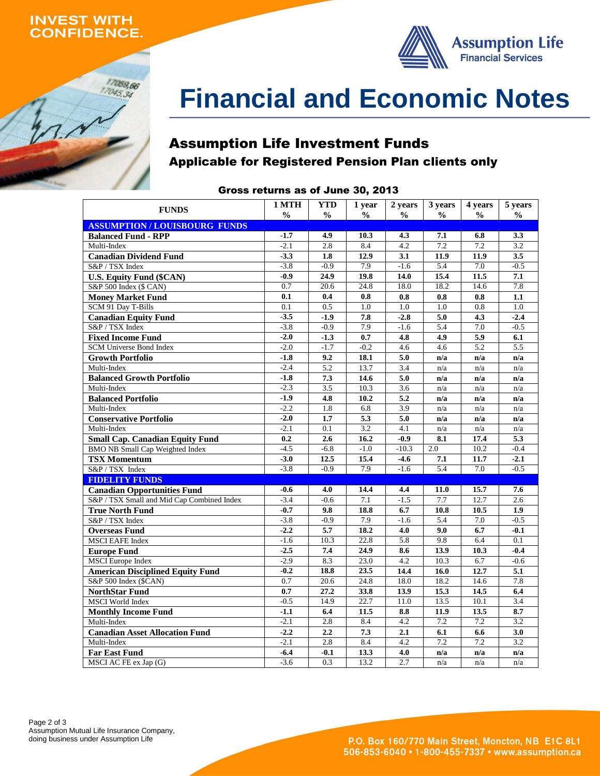## **INVEST WITH ONFIDENCE.**

17059,66  $17045,34$ 



# **Financial and Economic Notes**

# Assumption Life Investment Funds Applicable for Registered Pension Plan clients only

# Gross returns as of June 30, 2013

| <b>FUNDS</b>                               | 1 MTH            | YTD              | 1 year        | 2 years          | 3 years       | 4 years       | 5 years    |
|--------------------------------------------|------------------|------------------|---------------|------------------|---------------|---------------|------------|
|                                            | $\frac{0}{0}$    | $\frac{0}{0}$    | $\frac{6}{9}$ | $\frac{0}{0}$    | $\frac{0}{0}$ | $\frac{6}{9}$ | $\%$       |
| <b>ASSUMPTION/LOUISBOURG FUNDS</b>         |                  |                  |               |                  |               |               |            |
| <b>Balanced Fund - RPP</b>                 | $-1.7$           | 4.9              | 10.3          | 4.3              | 7.1           | 6.8           | 3.3        |
| Multi-Index                                | $-2.1$           | 2.8              | 8.4           | 4.2              | 7.2           | 7.2           | 3.2        |
| <b>Canadian Dividend Fund</b>              | $-3.3$           | 1.8              | 12.9          | 3.1              | 11.9          | 11.9          | 3.5        |
| S&P / TSX Index                            | $-3.8$           | $-0.9$           | 7.9           | $-1.6$           | 5.4           | 7.0           | $-0.5$     |
| <b>U.S. Equity Fund (\$CAN)</b>            | $-0.9$           | 24.9             | 19.8          | 14.0             | 15.4          | 11.5          | 7.1        |
| S&P 500 Index (\$ CAN)                     | 0.7              | 20.6             | 24.8          | 18.0             | 18.2          | 14.6          | 7.8        |
| <b>Money Market Fund</b>                   | 0.1              | 0.4              | 0.8           | 0.8              | 0.8           | 0.8           | 1.1        |
| SCM 91 Day T-Bills                         | 0.1              | 0.5              | 1.0           | 1.0              | 1.0           | 0.8           | 1.0        |
| <b>Canadian Equity Fund</b>                | $-3.5$           | $-1.9$           | 7.8           | $-2.8$           | 5.0           | 4.3           | $-2.4$     |
| S&P / TSX Index                            | $-3.8$           | $-0.9$           | 7.9           | $-1.6$           | 5.4           | 7.0           | $-0.5$     |
| <b>Fixed Income Fund</b>                   | $-2.0$           | $-1.3$           | 0.7           | 4.8              | 4.9           | 5.9           | 6.1        |
| <b>SCM Universe Bond Index</b>             | $-2.0$           | $-1.7$           | $-0.2$        | 4.6              | 4.6           | 5.2           | 5.5        |
| <b>Growth Portfolio</b>                    | $-1.8$           | 9.2              | 18.1          | 5.0              | n/a           | n/a           | n/a        |
| Multi-Index                                | $-2.4$           | 5.2              | 13.7          | 3.4              | n/a           | n/a           | n/a        |
| <b>Balanced Growth Portfolio</b>           | $-1.8$           | 7.3              | 14.6          | 5.0              | n/a           | n/a           | n/a        |
| Multi-Index                                | $-2.3$           | $\overline{3.5}$ | 10.3          | 3.6              | n/a           | n/a           | n/a        |
| <b>Balanced Portfolio</b>                  | $-1.9$           | 4.8              | 10.2          | 5.2              | n/a           | n/a           | n/a        |
| Multi-Index                                | $-2.2$           | 1.8              | 6.8           | $\overline{3.9}$ | n/a           | n/a           | n/a        |
| <b>Conservative Portfolio</b>              | $-2.0$           | 1.7              | 5.3           | 5.0              | n/a           | n/a           | n/a        |
| Multi-Index                                | $-2.1$           | 0.1              | 3.2           | 4.1              | n/a           | n/a           | n/a        |
| <b>Small Cap. Canadian Equity Fund</b>     | 0.2              | 2.6              | 16.2          | $-0.9$           | 8.1           | 17.4          | 5.3        |
| <b>BMO NB Small Cap Weighted Index</b>     | $-4.5$           | $-6.8$           | $-1.0$        | $-10.3$          | 2.0           | 10.2          | $-0.4$     |
| <b>TSX Momentum</b>                        | $-3.0$           | 12.5             | 15.4          | $-4.6$           | 7.1           | 11.7          | $-2.1$     |
| S&P / TSX Index                            | $-3.8$           | $-0.9$           | 7.9           | $-1.6$           | 5.4           | 7.0           | $-0.5$     |
| <b>FIDELITY FUNDS</b>                      |                  |                  |               |                  |               |               |            |
| <b>Canadian Opportunities Fund</b>         | $-0.6$           | 4.0              | 14.4          | 4.4              | 11.0          | 15.7          | 7.6        |
| S&P / TSX Small and Mid Cap Combined Index | $-3.4$           | $-0.6$           | 7.1           | $-1.5$           | 7.7           | 12.7          | 2.6        |
| <b>True North Fund</b>                     | $-0.7$           | 9.8              | 18.8          | 6.7              | 10.8          | 10.5          | 1.9        |
| S&P / TSX Index                            | $-3.8$           | $-0.9$           | 7.9           | $-1.6$           | 5.4           | 7.0           | $-0.5$     |
| <b>Overseas Fund</b>                       | $-2.2$           | 5.7              | 18.2          | 4.0              | 9.0           | 6.7           | $-0.1$     |
| <b>MSCI EAFE Index</b>                     | $-1.6$           | 10.3             | 22.8          | 5.8              | 9.8           | 6.4           | 0.1        |
| <b>Europe Fund</b>                         | $-2.5$           | 7.4              | 24.9          | 8.6              | 13.9          | 10.3          | $-0.4$     |
| <b>MSCI</b> Europe Index                   | $-2.9$           | 8.3              | 23.0          | $4.2\,$          | 10.3          | 6.7           | $-0.6$     |
| <b>American Disciplined Equity Fund</b>    | $-0.2$           | 18.8             | 23.5          | 14.4             | 16.0          | 12.7          | 5.1        |
| S&P 500 Index (\$CAN)                      | 0.7              | 20.6             | 24.8          | 18.0             | 18.2          | 14.6          | 7.8        |
| <b>NorthStar Fund</b>                      | 0.7              |                  |               |                  |               | 14.5          |            |
| <b>MSCI</b> World Index                    | $-0.5$           | 27.2<br>14.9     | 33.8<br>22.7  | 13.9<br>11.0     | 15.3<br>13.5  | 10.1          | 6.4<br>3.4 |
|                                            |                  |                  |               |                  |               |               |            |
| <b>Monthly Income Fund</b>                 | $-1.1$<br>$-2.1$ | 6.4<br>2.8       | 11.5<br>8.4   | 8.8<br>4.2       | 11.9<br>7.2   | 13.5<br>7.2   | 8.7<br>3.2 |
| Multi-Index                                |                  |                  |               |                  |               |               |            |
| <b>Canadian Asset Allocation Fund</b>      | $-2.2$           | 2.2              | 7.3           | 2.1              | 6.1           | 6.6           | 3.0        |
| Multi-Index                                | $-2.1$           | 2.8              | 8.4           | 4.2              | 7.2           | 7.2           | 3.2        |
| <b>Far East Fund</b>                       | $-6.4$           | $-0.1$           | 13.3          | 4.0              | n/a           | n/a           | n/a        |
| MSCI AC FE ex Jap (G)                      | $-3.6$           | 0.3              | 13.2          | 2.7              | n/a           | n/a           | n/a        |